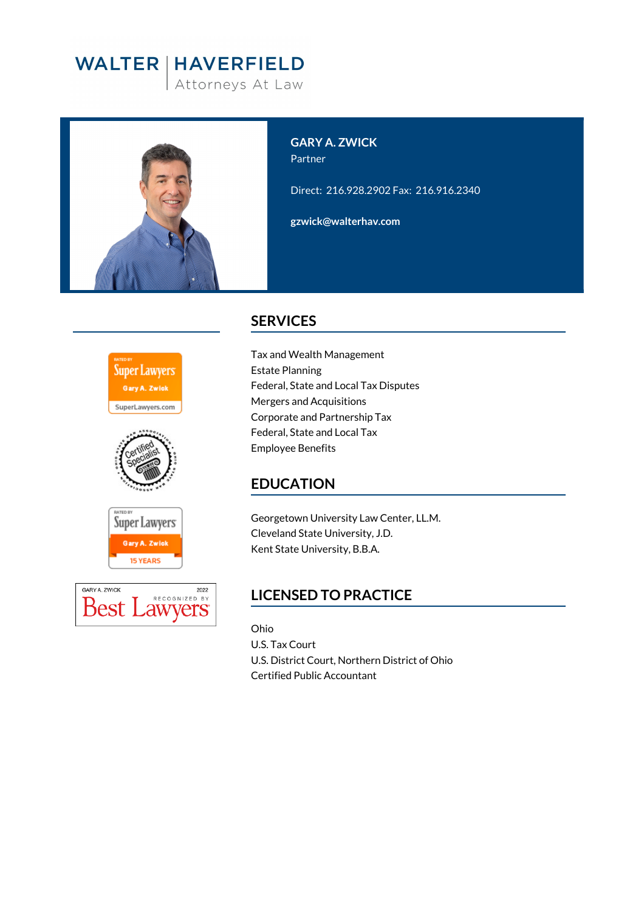# **WALTER | HAVERFIELD**

Attorneys At Law



**GARY A. ZWICK** Partner Direct: 216.928.2902 Fax: 216.916.2340

**gzwick@walterhav.com**





### **SERVICES**

Tax and Wealth Management Estate Planning Federal, State and Local Tax Disputes Mergers and Acquisitions Corporate and Partnership Tax Federal, State and Local Tax Employee Benefits

# **EDUCATION**

Georgetown University Law Center, LL.M. Cleveland State University, J.D. Kent State University, B.B.A.

# **LICENSED TO PRACTICE**

Ohio U.S. Tax Court U.S. District Court, Northern District of Ohio Certified Public Accountant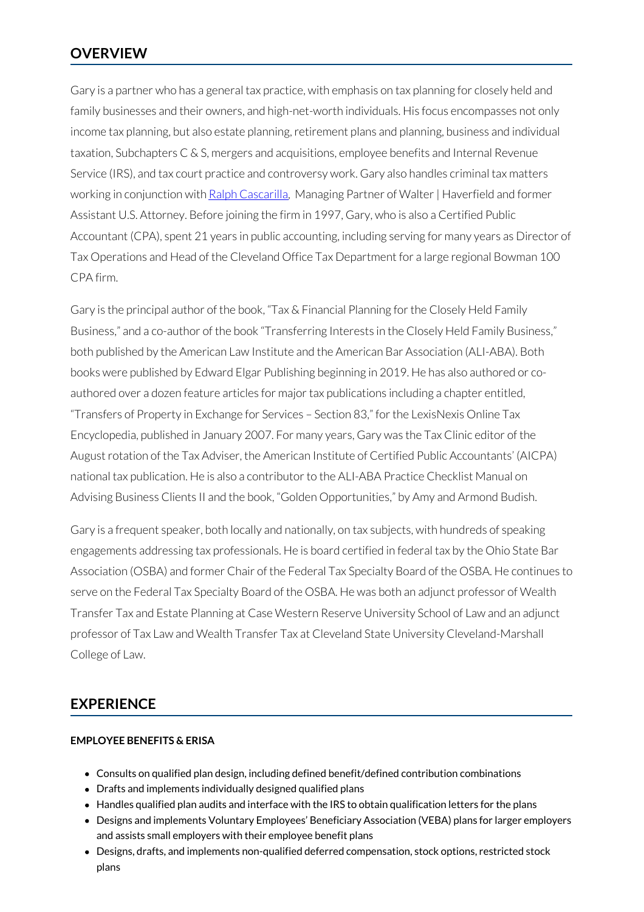Gary is a partner who has a general tax practice, with emphasis on tax planning for closely held and family businesses and their owners, and high-net-worth individuals. His focus encompasses not only income tax planning, but also estate planning, retirement plans and planning, business and individual taxation, Subchapters C & S, mergers and acquisitions, employee benefits and Internal Revenue Service (IRS), and tax court practice and controversy work. Gary also handles criminal tax matters working in conjunction with Ralph [Cascarilla](https://www.walterhav.com/professional/ralph-e-cascarilla/), Managing Partner of Walter | Haverfield and former Assistant U.S. Attorney. Before joining the firm in 1997, Gary, who is also a Certified Public Accountant (CPA), spent 21 years in public accounting, including serving for many years as Director of Tax Operations and Head of the Cleveland Office Tax Department for a large regional Bowman 100 CPA firm.

Gary is the principal author of the book, "Tax & Financial Planning for the Closely Held Family Business," and a co-author of the book "Transferring Interests in the Closely Held Family Business," both published by the American Law Institute and the American Bar Association (ALI-ABA). Both books were published by Edward Elgar Publishing beginning in 2019. He has also authored or coauthored over a dozen feature articles for majortax publications including a chapter entitled, "Transfers of Property in Exchange for Services - Section 83," for the LexisNexis Online Tax Encyclopedia, published in January 2007. For many years, Gary was the Tax Clinic editor of the August rotation of the Tax Adviser, the American Institute of Certified Public Accountants' (AICPA) national tax publication. He is also a contributor to the ALI-ABA Practice Checklist Manual on Advising Business Clients II and the book, "Golden Opportunities," by Amy and Armond Budish.

Gary is a frequent speaker, both locally and nationally, on tax subjects, with hundreds of speaking engagements addressing tax professionals. He is board certified in federal tax by the Ohio State Bar Association (OSBA) and former Chair of the Federal Tax Specialty Board of the OSBA. He continues to serve on the Federal Tax Specialty Board of the OSBA. He was both an adjunct professor of Wealth Transfer Tax and Estate Planning at Case Western Reserve University School of Law and an adjunct professor of Tax Law and Wealth Transfer Tax at Cleveland State University Cleveland-Marshall College of Law.

### **EXPERIENCE**

#### **EMPLOYEE BENEFITS & ERISA**

- Consults on qualified plan design, including defined benefit/defined contribution combinations
- Drafts and implements individually designed qualified plans
- Handles qualified plan audits and interface with the IRS to obtain qualification letters for the plans
- Designs and implements Voluntary Employees' Beneficiary Association (VEBA) plans for larger employers and assists small employers with their employee benefit plans
- Designs, drafts, and implements non-qualified deferred compensation, stock options, restricted stock plans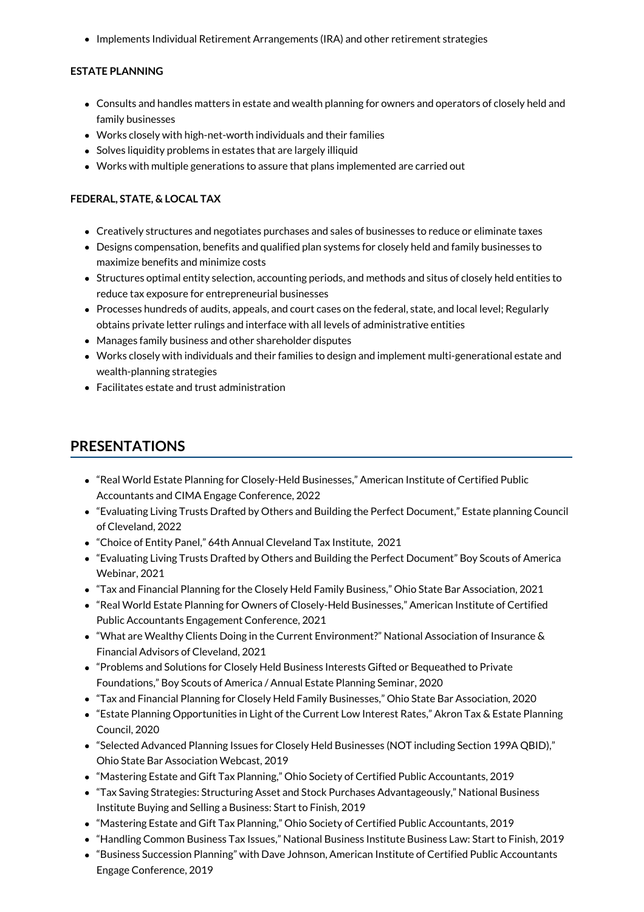• Implements Individual Retirement Arrangements (IRA) and other retirement strategies

#### **ESTATE PLANNING**

- Consults and handles matters in estate and wealth planning for owners and operators of closely held and family businesses
- Works closely with high-net-worth individuals and their families
- Solves liquidity problems in estates that are largely illiquid
- Works with multiple generations to assure that plans implemented are carried out

#### **FEDERAL, STATE, & LOCAL TAX**

- Creatively structures and negotiates purchases and sales of businesses to reduce or eliminate taxes
- Designs compensation, benefits and qualified plan systems for closely held and family businesses to maximize benefits and minimize costs
- Structures optimal entity selection, accounting periods, and methods and situs of closely held entities to reduce tax exposure for entrepreneurial businesses
- Processes hundreds of audits, appeals, and court cases on the federal, state, and local level; Regularly obtains private letter rulings and interface with all levels of administrative entities
- Manages family business and other shareholder disputes
- Works closely with individuals and their families to design and implement multi-generational estate and wealth-planning strategies
- Facilitates estate and trust administration

### **PRESENTATIONS**

- "Real World Estate Planning for Closely-Held Businesses," American Institute of Certified Public Accountants and CIMA Engage Conference, 2022
- "Evaluating Living Trusts Drafted by Others and Building the Perfect Document," Estate planning Council of Cleveland, 2022
- "Choice of Entity Panel," 64th Annual Cleveland Tax Institute, 2021
- "Evaluating Living Trusts Drafted by Others and Building the Perfect Document" Boy Scouts of America Webinar, 2021
- "Tax and Financial Planning for the Closely Held Family Business," Ohio State Bar Association, 2021
- "Real World Estate Planning for Owners of Closely-Held Businesses," American Institute of Certified Public Accountants Engagement Conference, 2021
- "What are Wealthy Clients Doing in the Current Environment?" National Association of Insurance & Financial Advisors of Cleveland, 2021
- "Problems and Solutions for Closely Held Business Interests Gifted or Bequeathed to Private Foundations," Boy Scouts of America / Annual Estate Planning Seminar, 2020
- "Tax and Financial Planning for Closely Held Family Businesses," Ohio State Bar Association, 2020
- "Estate Planning Opportunities in Light of the Current Low Interest Rates," Akron Tax & Estate Planning Council, 2020
- "Selected Advanced Planning Issues for Closely Held Businesses (NOT including Section 199A QBID)," Ohio State Bar Association Webcast, 2019
- "Mastering Estate and Gift Tax Planning," Ohio Society of Certified Public Accountants, 2019
- "Tax Saving Strategies: Structuring Asset and Stock Purchases Advantageously," National Business Institute Buying and Selling a Business: Start to Finish, 2019
- "Mastering Estate and Gift Tax Planning," Ohio Society of Certified Public Accountants, 2019
- "Handling Common Business Tax Issues," National Business Institute Business Law: Start to Finish, 2019
- "Business Succession Planning" with Dave Johnson, American Institute of Certified Public Accountants Engage Conference, 2019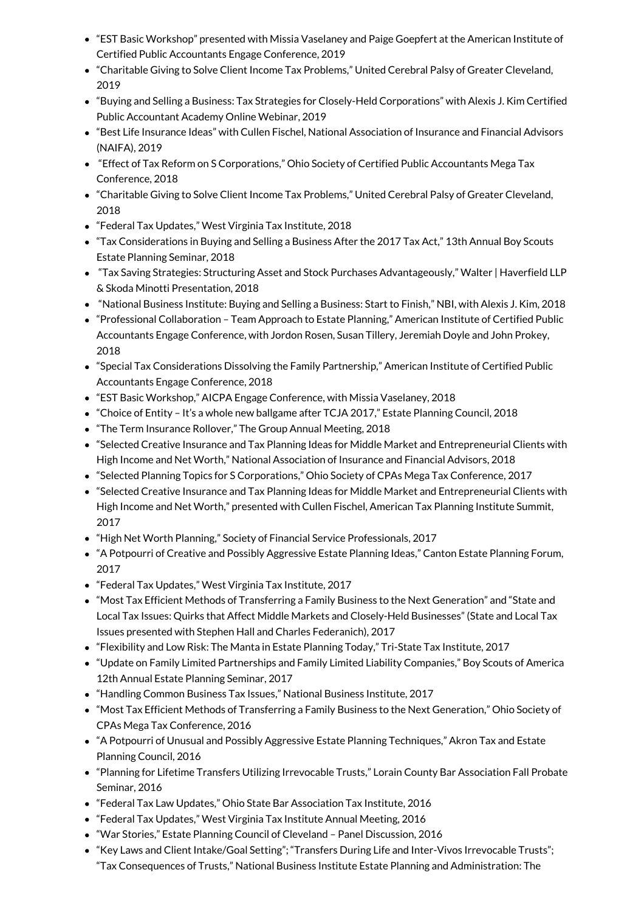- "EST Basic Workshop" presented with Missia Vaselaney and Paige Goepfert at the American Institute of Certified Public Accountants Engage Conference, 2019
- "Charitable Giving to Solve Client Income Tax Problems," United Cerebral Palsy of Greater Cleveland, 2019
- "Buying and Selling a Business: Tax Strategies for Closely-Held Corporations" with Alexis J. Kim Certified Public Accountant Academy Online Webinar, 2019
- "Best Life Insurance Ideas" with Cullen Fischel, National Association of Insurance and Financial Advisors (NAIFA), 2019
- "Effect of Tax Reform on S Corporations," Ohio Society of Certified Public Accountants Mega Tax Conference, 2018
- "Charitable Giving to Solve Client Income Tax Problems," United Cerebral Palsy of Greater Cleveland, 2018
- "Federal Tax Updates," West Virginia Tax Institute, 2018
- "Tax Considerations in Buying and Selling a Business After the 2017 Tax Act," 13th Annual Boy Scouts Estate Planning Seminar, 2018
- "Tax Saving Strategies: Structuring Asset and Stock Purchases Advantageously," Walter | Haverfield LLP & Skoda Minotti Presentation, 2018
- "National Business Institute: Buying and Selling a Business: Start to Finish," NBI, with Alexis J. Kim, 2018
- "Professional Collaboration Team Approach to Estate Planning," American Institute of Certified Public Accountants Engage Conference, with Jordon Rosen, Susan Tillery, Jeremiah Doyle and John Prokey, 2018
- "Special Tax Considerations Dissolving the Family Partnership," American Institute of Certified Public Accountants Engage Conference, 2018
- "EST Basic Workshop," AICPA Engage Conference, with Missia Vaselaney, 2018
- "Choice of Entity It's a whole new ballgame after TCJA 2017," Estate Planning Council, 2018
- "The Term Insurance Rollover," The Group Annual Meeting, 2018
- "Selected Creative Insurance and Tax Planning Ideas for Middle Market and Entrepreneurial Clients with High Income and Net Worth," National Association of Insurance and Financial Advisors, 2018
- "Selected Planning Topics for S Corporations," Ohio Society of CPAs Mega Tax Conference, 2017
- "Selected Creative Insurance and Tax Planning Ideas for Middle Market and Entrepreneurial Clients with High Income and Net Worth," presented with Cullen Fischel, American Tax Planning Institute Summit, 2017
- "High Net Worth Planning," Society of Financial Service Professionals, 2017
- "A Potpourri of Creative and Possibly Aggressive Estate Planning Ideas," Canton Estate Planning Forum, 2017
- "Federal Tax Updates," West Virginia Tax Institute, 2017
- "Most Tax Efficient Methods of Transferring a Family Business to the Next Generation" and "State and Local Tax Issues: Quirks that Affect Middle Markets and Closely-Held Businesses" (State and Local Tax Issues presented with Stephen Hall and Charles Federanich), 2017
- "Flexibility and Low Risk: The Manta in Estate Planning Today," Tri-State Tax Institute, 2017
- "Update on Family Limited Partnerships and Family Limited Liability Companies," Boy Scouts of America 12th Annual Estate Planning Seminar, 2017
- "Handling Common Business Tax Issues," National Business Institute, 2017
- "Most Tax Efficient Methods of Transferring a Family Business to the Next Generation," Ohio Society of CPAs Mega Tax Conference, 2016
- "A Potpourri of Unusual and Possibly Aggressive Estate Planning Techniques," Akron Tax and Estate Planning Council, 2016
- "Planning for Lifetime Transfers Utilizing Irrevocable Trusts," Lorain County Bar Association Fall Probate Seminar, 2016
- "Federal Tax Law Updates," Ohio State Bar Association Tax Institute, 2016
- "Federal Tax Updates," West Virginia Tax Institute Annual Meeting, 2016
- "War Stories," Estate Planning Council of Cleveland Panel Discussion, 2016
- "Key Laws and Client Intake/Goal Setting"; "Transfers During Life and Inter-Vivos Irrevocable Trusts"; "Tax Consequences of Trusts," National Business Institute Estate Planning and Administration: The